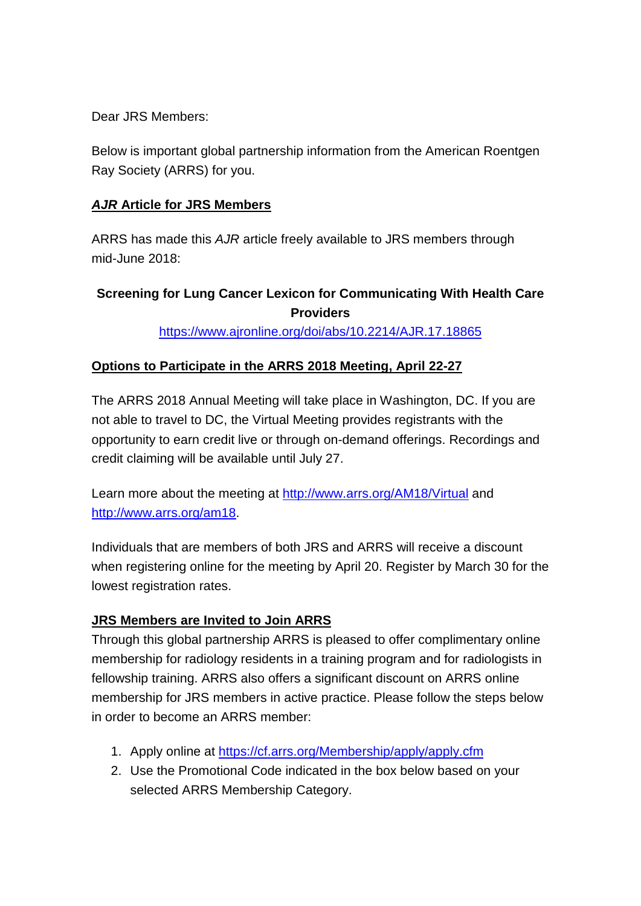Dear JRS Members:

Below is important global partnership information from the American Roentgen Ray Society (ARRS) for you.

## *AJR* **Article for JRS Members**

ARRS has made this *AJR* article freely available to JRS members through mid-June 2018:

## **Screening for Lung Cancer Lexicon for Communicating With Health Care Providers**

<https://www.ajronline.org/doi/abs/10.2214/AJR.17.18865>

## **Options to Participate in the ARRS 2018 Meeting, April 22-27**

The ARRS 2018 Annual Meeting will take place in Washington, DC. If you are not able to travel to DC, the Virtual Meeting provides registrants with the opportunity to earn credit live or through on-demand offerings. Recordings and credit claiming will be available until July 27.

Learn more about the meeting at<http://www.arrs.org/AM18/Virtual> and [http://www.arrs.org/am18.](http://www.arrs.org/am18)

Individuals that are members of both JRS and ARRS will receive a discount when registering online for the meeting by April 20. Register by March 30 for the lowest registration rates.

## **JRS Members are Invited to Join ARRS**

Through this global partnership ARRS is pleased to offer complimentary online membership for radiology residents in a training program and for radiologists in fellowship training. ARRS also offers a significant discount on ARRS online membership for JRS members in active practice. Please follow the steps below in order to become an ARRS member:

- 1. Apply online at<https://cf.arrs.org/Membership/apply/apply.cfm>
- 2. Use the Promotional Code indicated in the box below based on your selected ARRS Membership Category.